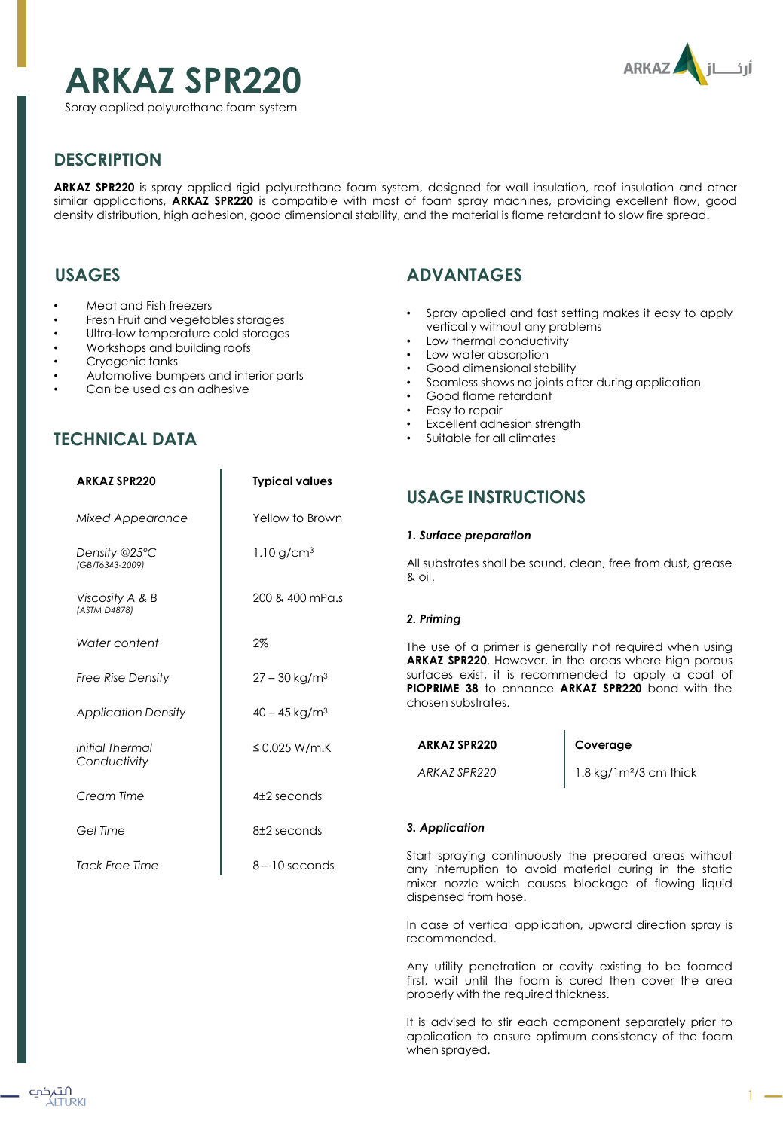# **ARKAZ SPR220**



Spray applied polyurethane foam system

# **DESCRIPTION**

**ARKAZ SPR220** is spray applied rigid polyurethane foam system, designed for wall insulation, roof insulation and other similar applications, **ARKAZ SPR220** is compatible with most of foam spray machines, providing excellent flow, good density distribution, high adhesion, good dimensional stability, and the material is flame retardant to slow fire spread.

## **USAGES**

- Meat and Fish freezers
- Fresh Fruit and vegetables storages
- Ultra-low temperature cold storages
- Workshops and building roofs
- Cryogenic tanks
- Automotive bumpers and interior parts

**ARKAZ SPR220 Typical values**

Can be used as an adhesive

# **ADVANTAGES**

- Spray applied and fast setting makes it easy to apply vertically without any problems
- Low thermal conductivity
- Low water absorption
- Good dimensional stability
- Seamless shows no joints after during application
- Good flame retardant
- Easy to repair
- **Excellent adhesion strength**
- Suitable for all climates

| ANNAL JI NLLU                    | <b>IVAIGUI VUIUS</b>        | <b>USAGE INSTRUCT</b>                                                                                                                          |
|----------------------------------|-----------------------------|------------------------------------------------------------------------------------------------------------------------------------------------|
| Mixed Appearance                 | Yellow to Brown             |                                                                                                                                                |
|                                  |                             | 1. Surface preparation                                                                                                                         |
| Density @25°C<br>(GB/T6343-2009) | 1.10 g/cm <sup>3</sup>      | All substrates shall be so<br>& oil.                                                                                                           |
| Viscosity A & B<br>(ASTM D4878)  | 200 & 400 mPa.s             |                                                                                                                                                |
|                                  |                             | 2. Priming                                                                                                                                     |
| Water content                    | 2%                          | The use of a primer is a<br><b>ARKAZ SPR220. However</b><br>surfaces exist, it is recom-<br><b>PIOPRIME 38</b> to enhand<br>chosen substrates. |
| <b>Free Rise Density</b>         | $27 - 30$ kg/m <sup>3</sup> |                                                                                                                                                |
| <b>Application Density</b>       | $40 - 45$ kg/m <sup>3</sup> |                                                                                                                                                |
| Initial Thermal                  | ≤ 0.025 W/m.K               | <b>ARKAZ SPR220</b>                                                                                                                            |
| Conductivity                     |                             | ARKAZ SPR220                                                                                                                                   |
| Cream Time                       | $42$ seconds                |                                                                                                                                                |
| Gel Time                         | 8±2 seconds                 | 3. Application                                                                                                                                 |
| <b>Tack Free Time</b>            | $8 - 10$ seconds            | Start spraying continuo<br>any interruption to ave<br>mixer nozzle which ca<br>disnansad from hosa                                             |

### **USAGE**

und, clean, free from dust, grease

enerally not required when using  $r$ , in the areas where high porous ommended to apply a coat of **PIOPRIME 38** to enhance **ARKAZ SPR220** bond with the

#### **Coverage**

1.8 kg/1m²/3 cm thick

usly the prepared areas without bid material curing in the static luses blockage of flowing liquid dispensed from hose.

In case of vertical application, upward direction spray is recommended.

Any utility penetration or cavity existing to be foamed first, wait until the foam is cured then cover the area properly with the required thickness.

It is advised to stir each component separately prior to application to ensure optimum consistency of the foam when sprayed.

# **TECHNICAL DATA**